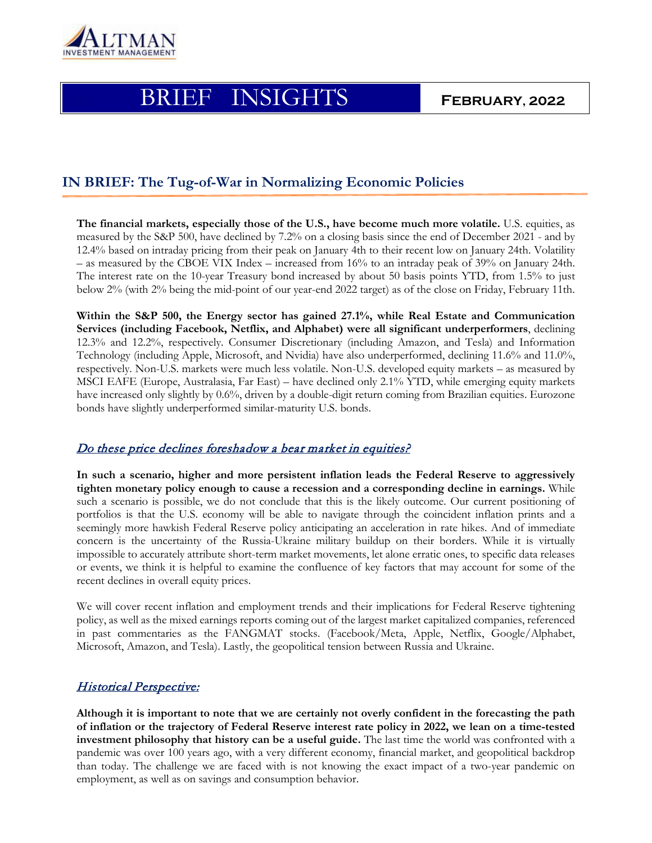

# Mar BRIEF INSIGHTS **FEBRUARY, 2022**

## **IN BRIEF: The Tug-of-War in Normalizing Economic Policies**

**The financial markets, especially those of the U.S., have become much more volatile.** U.S. equities, as measured by the S&P 500, have declined by 7.2% on a closing basis since the end of December 2021 - and by 12.4% based on intraday pricing from their peak on January 4th to their recent low on January 24th. Volatility – as measured by the CBOE VIX Index – increased from 16% to an intraday peak of 39% on January 24th. The interest rate on the 10-year Treasury bond increased by about 50 basis points YTD, from 1.5% to just below 2% (with 2% being the mid-point of our year-end 2022 target) as of the close on Friday, February 11th.

**Within the S&P 500, the Energy sector has gained 27.1%, while Real Estate and Communication Services (including Facebook, Netflix, and Alphabet) were all significant underperformers**, declining 12.3% and 12.2%, respectively. Consumer Discretionary (including Amazon, and Tesla) and Information Technology (including Apple, Microsoft, and Nvidia) have also underperformed, declining 11.6% and 11.0%, respectively. Non-U.S. markets were much less volatile. Non-U.S. developed equity markets – as measured by MSCI EAFE (Europe, Australasia, Far East) – have declined only 2.1% YTD, while emerging equity markets have increased only slightly by 0.6%, driven by a double-digit return coming from Brazilian equities. Eurozone bonds have slightly underperformed similar-maturity U.S. bonds.

### Do these price declines foreshadow a bear market in equities?

**In such a scenario, higher and more persistent inflation leads the Federal Reserve to aggressively tighten monetary policy enough to cause a recession and a corresponding decline in earnings.** While such a scenario is possible, we do not conclude that this is the likely outcome. Our current positioning of portfolios is that the U.S. economy will be able to navigate through the coincident inflation prints and a seemingly more hawkish Federal Reserve policy anticipating an acceleration in rate hikes. And of immediate concern is the uncertainty of the Russia-Ukraine military buildup on their borders. While it is virtually impossible to accurately attribute short-term market movements, let alone erratic ones, to specific data releases or events, we think it is helpful to examine the confluence of key factors that may account for some of the recent declines in overall equity prices.

We will cover recent inflation and employment trends and their implications for Federal Reserve tightening policy, as well as the mixed earnings reports coming out of the largest market capitalized companies, referenced in past commentaries as the FANGMAT stocks. (Facebook/Meta, Apple, Netflix, Google/Alphabet, Microsoft, Amazon, and Tesla). Lastly, the geopolitical tension between Russia and Ukraine.

## Historical Perspective:

**Although it is important to note that we are certainly not overly confident in the forecasting the path of inflation or the trajectory of Federal Reserve interest rate policy in 2022, we lean on a time-tested investment philosophy that history can be a useful guide.** The last time the world was confronted with a pandemic was over 100 years ago, with a very different economy, financial market, and geopolitical backdrop than today. The challenge we are faced with is not knowing the exact impact of a two-year pandemic on employment, as well as on savings and consumption behavior.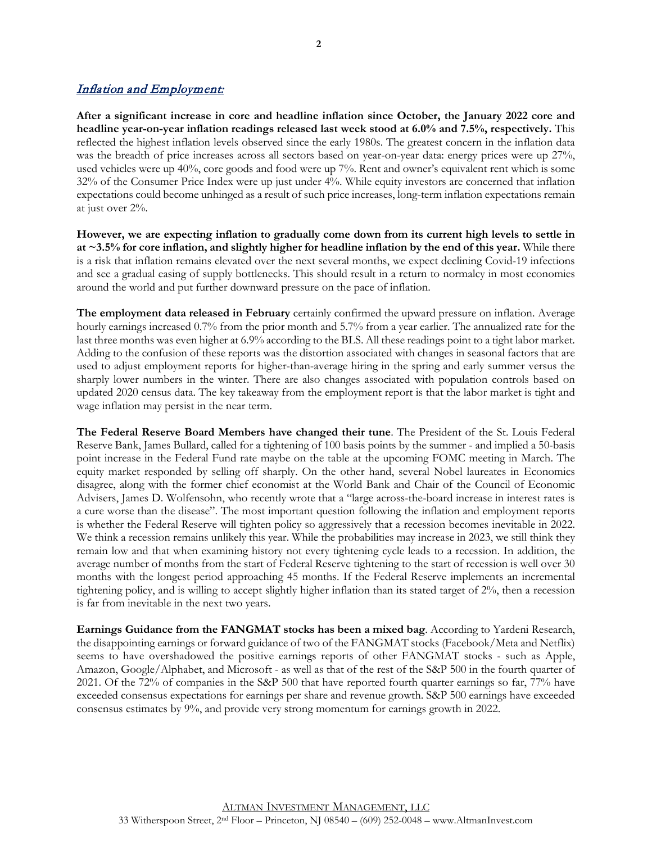## Inflation and Employment:

**After a significant increase in core and headline inflation since October, the January 2022 core and headline year-on-year inflation readings released last week stood at 6.0% and 7.5%, respectively.** This reflected the highest inflation levels observed since the early 1980s. The greatest concern in the inflation data was the breadth of price increases across all sectors based on year-on-year data: energy prices were up 27%, used vehicles were up 40%, core goods and food were up 7%. Rent and owner's equivalent rent which is some 32% of the Consumer Price Index were up just under 4%. While equity investors are concerned that inflation expectations could become unhinged as a result of such price increases, long-term inflation expectations remain at just over 2%.

**However, we are expecting inflation to gradually come down from its current high levels to settle in at ~3.5% for core inflation, and slightly higher for headline inflation by the end of this year.** While there is a risk that inflation remains elevated over the next several months, we expect declining Covid-19 infections and see a gradual easing of supply bottlenecks. This should result in a return to normalcy in most economies around the world and put further downward pressure on the pace of inflation.

**The employment data released in February** certainly confirmed the upward pressure on inflation. Average hourly earnings increased 0.7% from the prior month and 5.7% from a year earlier. The annualized rate for the last three months was even higher at 6.9% according to the BLS. All these readings point to a tight labor market. Adding to the confusion of these reports was the distortion associated with changes in seasonal factors that are used to adjust employment reports for higher-than-average hiring in the spring and early summer versus the sharply lower numbers in the winter. There are also changes associated with population controls based on updated 2020 census data. The key takeaway from the employment report is that the labor market is tight and wage inflation may persist in the near term.

**The Federal Reserve Board Members have changed their tune**. The President of the St. Louis Federal Reserve Bank, James Bullard, called for a tightening of 100 basis points by the summer - and implied a 50-basis point increase in the Federal Fund rate maybe on the table at the upcoming FOMC meeting in March. The equity market responded by selling off sharply. On the other hand, several Nobel laureates in Economics disagree, along with the former chief economist at the World Bank and Chair of the Council of Economic Advisers, James D. Wolfensohn, who recently wrote that a "large across-the-board increase in interest rates is a cure worse than the disease". The most important question following the inflation and employment reports is whether the Federal Reserve will tighten policy so aggressively that a recession becomes inevitable in 2022. We think a recession remains unlikely this year. While the probabilities may increase in 2023, we still think they remain low and that when examining history not every tightening cycle leads to a recession. In addition, the average number of months from the start of Federal Reserve tightening to the start of recession is well over 30 months with the longest period approaching 45 months. If the Federal Reserve implements an incremental tightening policy, and is willing to accept slightly higher inflation than its stated target of 2%, then a recession is far from inevitable in the next two years.

**Earnings Guidance from the FANGMAT stocks has been a mixed bag**. According to Yardeni Research, the disappointing earnings or forward guidance of two of the FANGMAT stocks (Facebook/Meta and Netflix) seems to have overshadowed the positive earnings reports of other FANGMAT stocks - such as Apple, Amazon, Google/Alphabet, and Microsoft - as well as that of the rest of the S&P 500 in the fourth quarter of 2021. Of the 72% of companies in the S&P 500 that have reported fourth quarter earnings so far, 77% have exceeded consensus expectations for earnings per share and revenue growth. S&P 500 earnings have exceeded consensus estimates by 9%, and provide very strong momentum for earnings growth in 2022.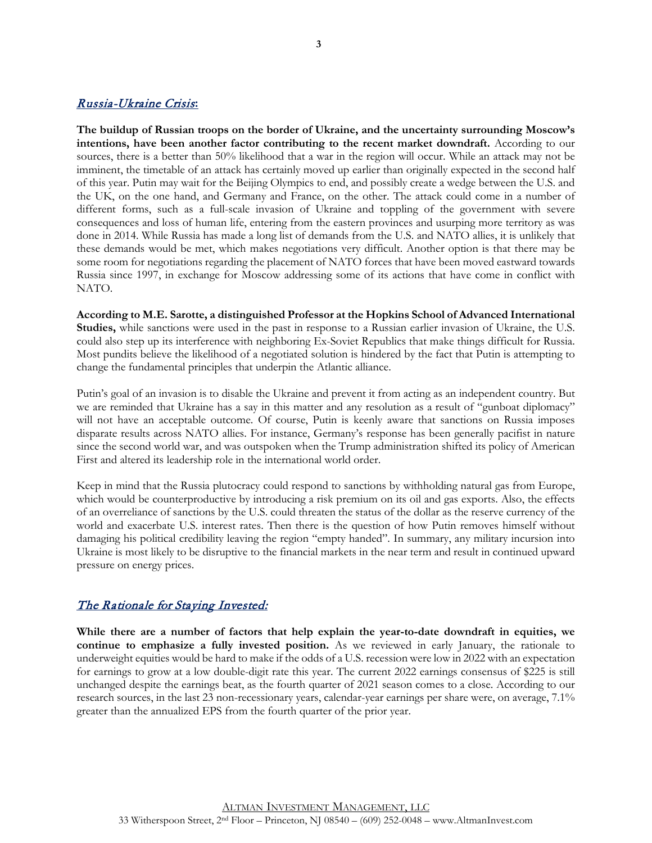#### Russia-Ukraine Crisis**:**

**The buildup of Russian troops on the border of Ukraine, and the uncertainty surrounding Moscow's intentions, have been another factor contributing to the recent market downdraft.** According to our sources, there is a better than 50% likelihood that a war in the region will occur. While an attack may not be imminent, the timetable of an attack has certainly moved up earlier than originally expected in the second half of this year. Putin may wait for the Beijing Olympics to end, and possibly create a wedge between the U.S. and the UK, on the one hand, and Germany and France, on the other. The attack could come in a number of different forms, such as a full-scale invasion of Ukraine and toppling of the government with severe consequences and loss of human life, entering from the eastern provinces and usurping more territory as was done in 2014. While Russia has made a long list of demands from the U.S. and NATO allies, it is unlikely that these demands would be met, which makes negotiations very difficult. Another option is that there may be some room for negotiations regarding the placement of NATO forces that have been moved eastward towards Russia since 1997, in exchange for Moscow addressing some of its actions that have come in conflict with NATO.

**According to M.E. Sarotte, a distinguished Professor at the Hopkins School of Advanced International Studies,** while sanctions were used in the past in response to a Russian earlier invasion of Ukraine, the U.S. could also step up its interference with neighboring Ex-Soviet Republics that make things difficult for Russia. Most pundits believe the likelihood of a negotiated solution is hindered by the fact that Putin is attempting to change the fundamental principles that underpin the Atlantic alliance.

Putin's goal of an invasion is to disable the Ukraine and prevent it from acting as an independent country. But we are reminded that Ukraine has a say in this matter and any resolution as a result of "gunboat diplomacy" will not have an acceptable outcome. Of course, Putin is keenly aware that sanctions on Russia imposes disparate results across NATO allies. For instance, Germany's response has been generally pacifist in nature since the second world war, and was outspoken when the Trump administration shifted its policy of American First and altered its leadership role in the international world order.

Keep in mind that the Russia plutocracy could respond to sanctions by withholding natural gas from Europe, which would be counterproductive by introducing a risk premium on its oil and gas exports. Also, the effects of an overreliance of sanctions by the U.S. could threaten the status of the dollar as the reserve currency of the world and exacerbate U.S. interest rates. Then there is the question of how Putin removes himself without damaging his political credibility leaving the region "empty handed". In summary, any military incursion into Ukraine is most likely to be disruptive to the financial markets in the near term and result in continued upward pressure on energy prices.

#### The Rationale for Staying Invested:

**While there are a number of factors that help explain the year-to-date downdraft in equities, we continue to emphasize a fully invested position.** As we reviewed in early January, the rationale to underweight equities would be hard to make if the odds of a U.S. recession were low in 2022 with an expectation for earnings to grow at a low double-digit rate this year. The current 2022 earnings consensus of \$225 is still unchanged despite the earnings beat, as the fourth quarter of 2021 season comes to a close. According to our research sources, in the last 23 non-recessionary years, calendar-year earnings per share were, on average, 7.1% greater than the annualized EPS from the fourth quarter of the prior year.